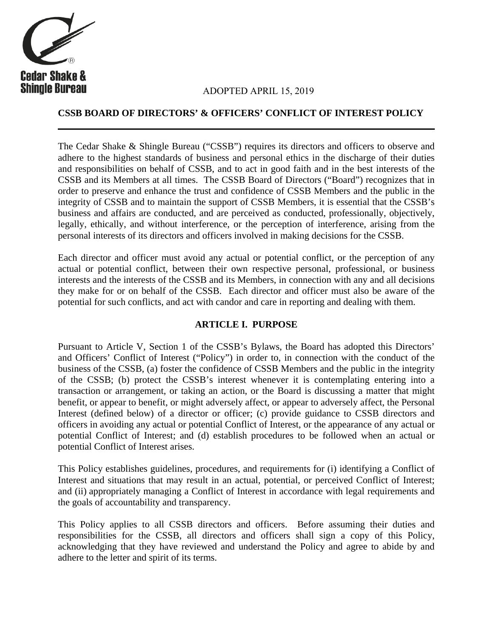

# **Shingle Bureau ADOPTED APRIL 15, 2019**

#### **CSSB BOARD OF DIRECTORS' & OFFICERS' CONFLICT OF INTEREST POLICY**

The Cedar Shake & Shingle Bureau ("CSSB") requires its directors and officers to observe and adhere to the highest standards of business and personal ethics in the discharge of their duties and responsibilities on behalf of CSSB, and to act in good faith and in the best interests of the CSSB and its Members at all times. The CSSB Board of Directors ("Board") recognizes that in order to preserve and enhance the trust and confidence of CSSB Members and the public in the integrity of CSSB and to maintain the support of CSSB Members, it is essential that the CSSB's business and affairs are conducted, and are perceived as conducted, professionally, objectively, legally, ethically, and without interference, or the perception of interference, arising from the personal interests of its directors and officers involved in making decisions for the CSSB.

Each director and officer must avoid any actual or potential conflict, or the perception of any actual or potential conflict, between their own respective personal, professional, or business interests and the interests of the CSSB and its Members, in connection with any and all decisions they make for or on behalf of the CSSB. Each director and officer must also be aware of the potential for such conflicts, and act with candor and care in reporting and dealing with them.

#### **ARTICLE I. PURPOSE**

Pursuant to Article V, Section 1 of the CSSB's Bylaws, the Board has adopted this Directors' and Officers' Conflict of Interest ("Policy") in order to, in connection with the conduct of the business of the CSSB, (a) foster the confidence of CSSB Members and the public in the integrity of the CSSB; (b) protect the CSSB's interest whenever it is contemplating entering into a transaction or arrangement, or taking an action, or the Board is discussing a matter that might benefit, or appear to benefit, or might adversely affect, or appear to adversely affect, the Personal Interest (defined below) of a director or officer; (c) provide guidance to CSSB directors and officers in avoiding any actual or potential Conflict of Interest, or the appearance of any actual or potential Conflict of Interest; and (d) establish procedures to be followed when an actual or potential Conflict of Interest arises.

This Policy establishes guidelines, procedures, and requirements for (i) identifying a Conflict of Interest and situations that may result in an actual, potential, or perceived Conflict of Interest; and (ii) appropriately managing a Conflict of Interest in accordance with legal requirements and the goals of accountability and transparency.

This Policy applies to all CSSB directors and officers. Before assuming their duties and responsibilities for the CSSB, all directors and officers shall sign a copy of this Policy, acknowledging that they have reviewed and understand the Policy and agree to abide by and adhere to the letter and spirit of its terms.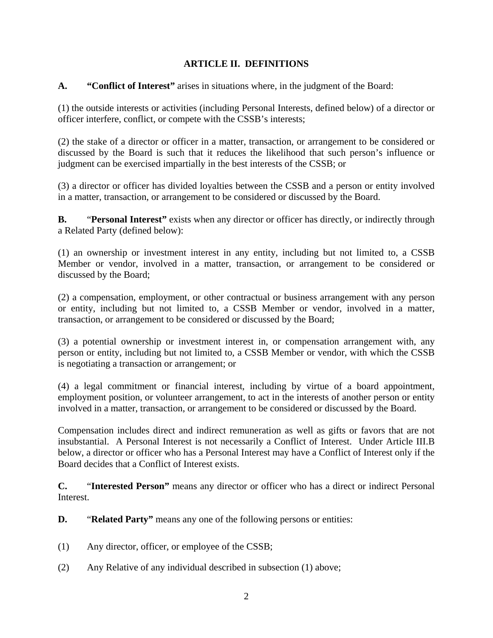### **ARTICLE II. DEFINITIONS**

**A. "Conflict of Interest"** arises in situations where, in the judgment of the Board:

(1) the outside interests or activities (including Personal Interests, defined below) of a director or officer interfere, conflict, or compete with the CSSB's interests;

(2) the stake of a director or officer in a matter, transaction, or arrangement to be considered or discussed by the Board is such that it reduces the likelihood that such person's influence or judgment can be exercised impartially in the best interests of the CSSB; or

(3) a director or officer has divided loyalties between the CSSB and a person or entity involved in a matter, transaction, or arrangement to be considered or discussed by the Board.

**B.** "**Personal Interest"** exists when any director or officer has directly, or indirectly through a Related Party (defined below):

(1) an ownership or investment interest in any entity, including but not limited to, a CSSB Member or vendor, involved in a matter, transaction, or arrangement to be considered or discussed by the Board;

(2) a compensation, employment, or other contractual or business arrangement with any person or entity, including but not limited to, a CSSB Member or vendor, involved in a matter, transaction, or arrangement to be considered or discussed by the Board;

(3) a potential ownership or investment interest in, or compensation arrangement with, any person or entity, including but not limited to, a CSSB Member or vendor, with which the CSSB is negotiating a transaction or arrangement; or

(4) a legal commitment or financial interest, including by virtue of a board appointment, employment position, or volunteer arrangement, to act in the interests of another person or entity involved in a matter, transaction, or arrangement to be considered or discussed by the Board.

Compensation includes direct and indirect remuneration as well as gifts or favors that are not insubstantial. A Personal Interest is not necessarily a Conflict of Interest. Under Article III.B below, a director or officer who has a Personal Interest may have a Conflict of Interest only if the Board decides that a Conflict of Interest exists.

**C.** "**Interested Person"** means any director or officer who has a direct or indirect Personal Interest.

- **D.** "**Related Party"** means any one of the following persons or entities:
- (1) Any director, officer, or employee of the CSSB;
- (2) Any Relative of any individual described in subsection (1) above;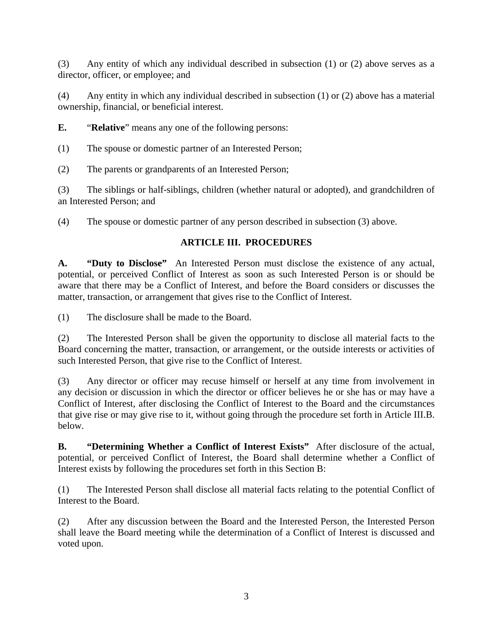(3) Any entity of which any individual described in subsection (1) or (2) above serves as a director, officer, or employee; and

(4) Any entity in which any individual described in subsection (1) or (2) above has a material ownership, financial, or beneficial interest.

**E.** "**Relative**" means any one of the following persons:

(1) The spouse or domestic partner of an Interested Person;

(2) The parents or grandparents of an Interested Person;

(3) The siblings or half-siblings, children (whether natural or adopted), and grandchildren of an Interested Person; and

(4) The spouse or domestic partner of any person described in subsection (3) above.

## **ARTICLE III. PROCEDURES**

**A. "Duty to Disclose"** An Interested Person must disclose the existence of any actual, potential, or perceived Conflict of Interest as soon as such Interested Person is or should be aware that there may be a Conflict of Interest, and before the Board considers or discusses the matter, transaction, or arrangement that gives rise to the Conflict of Interest.

(1) The disclosure shall be made to the Board.

(2) The Interested Person shall be given the opportunity to disclose all material facts to the Board concerning the matter, transaction, or arrangement, or the outside interests or activities of such Interested Person, that give rise to the Conflict of Interest.

(3) Any director or officer may recuse himself or herself at any time from involvement in any decision or discussion in which the director or officer believes he or she has or may have a Conflict of Interest, after disclosing the Conflict of Interest to the Board and the circumstances that give rise or may give rise to it, without going through the procedure set forth in Article III.B. below.

**B. "Determining Whether a Conflict of Interest Exists"** After disclosure of the actual, potential, or perceived Conflict of Interest, the Board shall determine whether a Conflict of Interest exists by following the procedures set forth in this Section B:

(1) The Interested Person shall disclose all material facts relating to the potential Conflict of Interest to the Board.

(2) After any discussion between the Board and the Interested Person, the Interested Person shall leave the Board meeting while the determination of a Conflict of Interest is discussed and voted upon.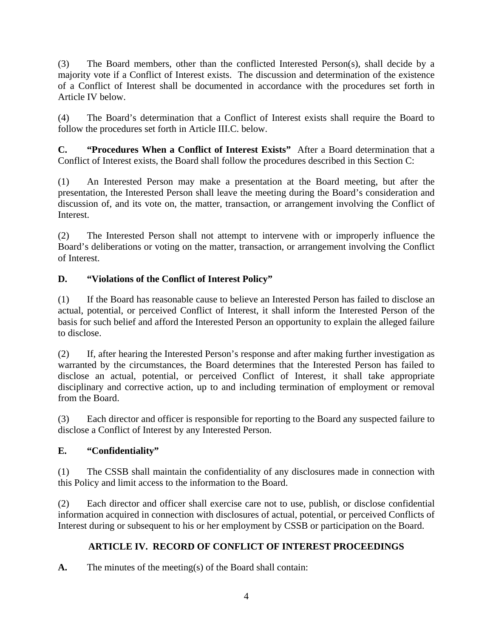(3) The Board members, other than the conflicted Interested Person(s), shall decide by a majority vote if a Conflict of Interest exists. The discussion and determination of the existence of a Conflict of Interest shall be documented in accordance with the procedures set forth in Article IV below.

(4) The Board's determination that a Conflict of Interest exists shall require the Board to follow the procedures set forth in Article III.C. below.

**C. "Procedures When a Conflict of Interest Exists"** After a Board determination that a Conflict of Interest exists, the Board shall follow the procedures described in this Section C:

(1) An Interested Person may make a presentation at the Board meeting, but after the presentation, the Interested Person shall leave the meeting during the Board's consideration and discussion of, and its vote on, the matter, transaction, or arrangement involving the Conflict of Interest.

(2) The Interested Person shall not attempt to intervene with or improperly influence the Board's deliberations or voting on the matter, transaction, or arrangement involving the Conflict of Interest.

# **D. "Violations of the Conflict of Interest Policy"**

(1) If the Board has reasonable cause to believe an Interested Person has failed to disclose an actual, potential, or perceived Conflict of Interest, it shall inform the Interested Person of the basis for such belief and afford the Interested Person an opportunity to explain the alleged failure to disclose.

(2) If, after hearing the Interested Person's response and after making further investigation as warranted by the circumstances, the Board determines that the Interested Person has failed to disclose an actual, potential, or perceived Conflict of Interest, it shall take appropriate disciplinary and corrective action, up to and including termination of employment or removal from the Board.

(3) Each director and officer is responsible for reporting to the Board any suspected failure to disclose a Conflict of Interest by any Interested Person.

#### **E. "Confidentiality"**

(1) The CSSB shall maintain the confidentiality of any disclosures made in connection with this Policy and limit access to the information to the Board.

(2) Each director and officer shall exercise care not to use, publish, or disclose confidential information acquired in connection with disclosures of actual, potential, or perceived Conflicts of Interest during or subsequent to his or her employment by CSSB or participation on the Board.

# **ARTICLE IV. RECORD OF CONFLICT OF INTEREST PROCEEDINGS**

**A.** The minutes of the meeting(s) of the Board shall contain: